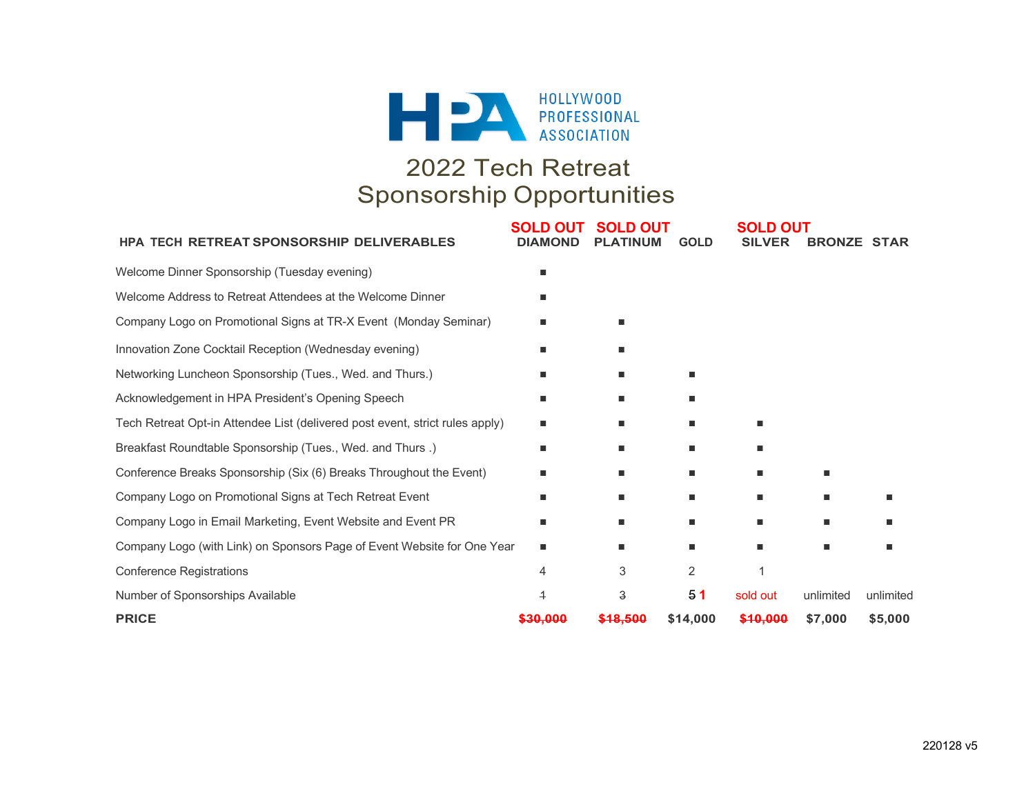

# 2022 Tech Retreat Sponsorship Opportunities

| <b>HPA TECH RETREAT SPONSORSHIP DELIVERABLES</b>                             | <b>SOLD OUT</b><br><b>DIAMOND</b> | <b>SOLD OUT</b><br><b>PLATINUM</b> | <b>GOLD</b>    | <b>SOLD OUT</b><br><b>SILVER</b> | <b>BRONZE STAR</b> |           |
|------------------------------------------------------------------------------|-----------------------------------|------------------------------------|----------------|----------------------------------|--------------------|-----------|
| Welcome Dinner Sponsorship (Tuesday evening)                                 |                                   |                                    |                |                                  |                    |           |
| Welcome Address to Retreat Attendees at the Welcome Dinner                   |                                   |                                    |                |                                  |                    |           |
| Company Logo on Promotional Signs at TR-X Event (Monday Seminar)             |                                   |                                    |                |                                  |                    |           |
| Innovation Zone Cocktail Reception (Wednesday evening)                       |                                   | ш                                  |                |                                  |                    |           |
| Networking Luncheon Sponsorship (Tues., Wed. and Thurs.)                     |                                   | п                                  |                |                                  |                    |           |
| Acknowledgement in HPA President's Opening Speech                            |                                   |                                    |                |                                  |                    |           |
| Tech Retreat Opt-in Attendee List (delivered post event, strict rules apply) | ■                                 | п                                  | ш              | ٠                                |                    |           |
| Breakfast Roundtable Sponsorship (Tues., Wed. and Thurs.)                    |                                   | п                                  |                |                                  |                    |           |
| Conference Breaks Sponsorship (Six (6) Breaks Throughout the Event)          |                                   |                                    |                | ٠                                | ٠                  |           |
| Company Logo on Promotional Signs at Tech Retreat Event                      |                                   | п                                  | $\blacksquare$ | п                                | ٠                  |           |
| Company Logo in Email Marketing, Event Website and Event PR                  | ■                                 | ٠                                  | ш              | ٠                                | ٠                  |           |
| Company Logo (with Link) on Sponsors Page of Event Website for One Year      |                                   | п                                  |                | ٠                                | ٠                  |           |
| <b>Conference Registrations</b>                                              | 4                                 | 3                                  | $\overline{2}$ |                                  |                    |           |
| Number of Sponsorships Available                                             | 4                                 | 3                                  | 51             | sold out                         | unlimited          | unlimited |
| <b>PRICE</b>                                                                 | <del>\$30.000</del>               | \$18.500                           | \$14,000       | \$10,000                         | \$7,000            | \$5,000   |